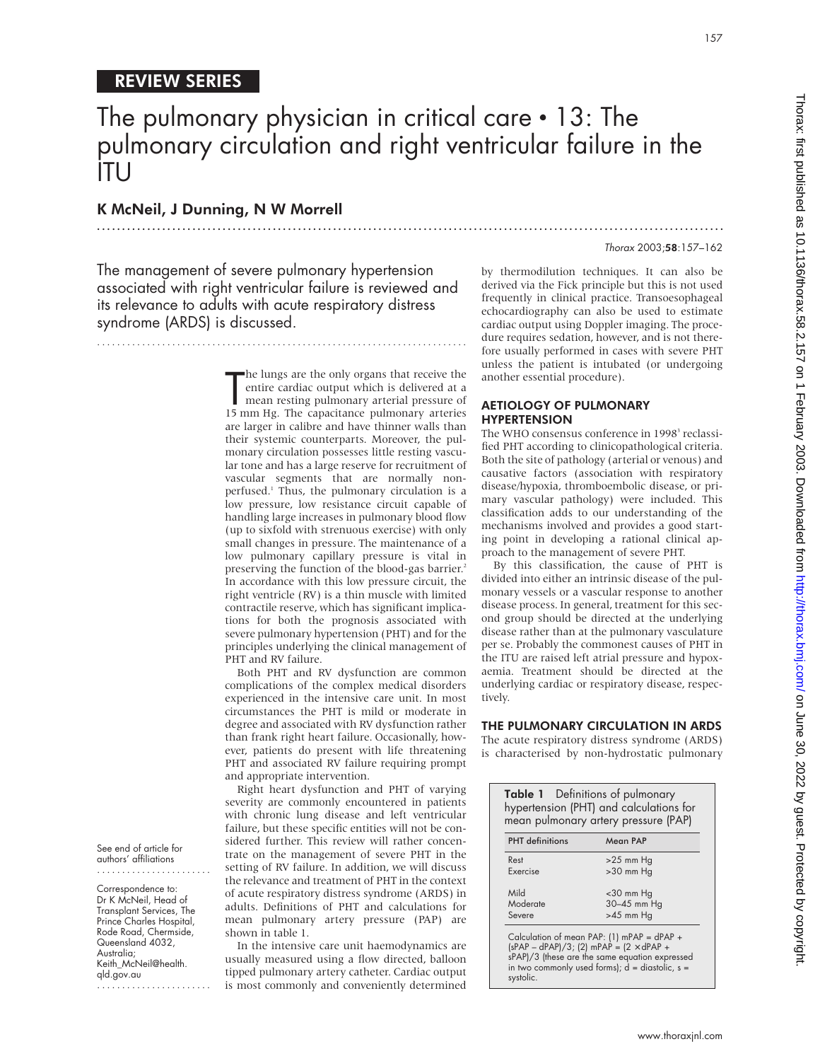# REVIEW SERIES

# The pulmonary physician in critical care  $\cdot$  13: The pulmonary circulation and right ventricular failure in the ITU

.............................................................................................................................

# K McNeil, J Dunning, N W Morrell

The management of severe pulmonary hypertension associated with right ventricular failure is reviewed and its relevance to adults with acute respiratory distress syndrome (ARDS) is discussed.

..........................................................................

The lungs are the only organs that receive the<br>
entire cardiac output which is delivered at a<br>
mean resting pulmonary arterial pressure of<br>
15 mm Hg. The capacitance pulmonary arteries he lungs are the only organs that receive the entire cardiac output which is delivered at a mean resting pulmonary arterial pressure of are larger in calibre and have thinner walls than their systemic counterparts. Moreover, the pulmonary circulation possesses little resting vascular tone and has a large reserve for recruitment of vascular segments that are normally nonperfused.1 Thus, the pulmonary circulation is a low pressure, low resistance circuit capable of handling large increases in pulmonary blood flow (up to sixfold with strenuous exercise) with only small changes in pressure. The maintenance of a low pulmonary capillary pressure is vital in preserving the function of the blood-gas barrier.<sup>2</sup> In accordance with this low pressure circuit, the right ventricle (RV) is a thin muscle with limited contractile reserve, which has significant implications for both the prognosis associated with severe pulmonary hypertension (PHT) and for the principles underlying the clinical management of PHT and RV failure.

Both PHT and RV dysfunction are common complications of the complex medical disorders experienced in the intensive care unit. In most circumstances the PHT is mild or moderate in degree and associated with RV dysfunction rather than frank right heart failure. Occasionally, however, patients do present with life threatening PHT and associated RV failure requiring prompt and appropriate intervention.

Right heart dysfunction and PHT of varying severity are commonly encountered in patients with chronic lung disease and left ventricular failure, but these specific entities will not be considered further. This review will rather concentrate on the management of severe PHT in the setting of RV failure. In addition, we will discuss the relevance and treatment of PHT in the context of acute respiratory distress syndrome (ARDS) in adults. Definitions of PHT and calculations for mean pulmonary artery pressure (PAP) are shown in table 1.

In the intensive care unit haemodynamics are usually measured using a flow directed, balloon tipped pulmonary artery catheter. Cardiac output is most commonly and conveniently determined

Thorax 2003;58:157–162

by thermodilution techniques. It can also be derived via the Fick principle but this is not used frequently in clinical practice. Transoesophageal echocardiography can also be used to estimate cardiac output using Doppler imaging. The procedure requires sedation, however, and is not therefore usually performed in cases with severe PHT unless the patient is intubated (or undergoing another essential procedure).

# AETIOLOGY OF PULMONARY HYPERTENSION

The WHO consensus conference in 1998<sup>3</sup> reclassified PHT according to clinicopathological criteria. Both the site of pathology (arterial or venous) and causative factors (association with respiratory disease/hypoxia, thromboembolic disease, or primary vascular pathology) were included. This classification adds to our understanding of the mechanisms involved and provides a good starting point in developing a rational clinical approach to the management of severe PHT.

By this classification, the cause of PHT is divided into either an intrinsic disease of the pulmonary vessels or a vascular response to another disease process. In general, treatment for this second group should be directed at the underlying disease rather than at the pulmonary vasculature per se. Probably the commonest causes of PHT in the ITU are raised left atrial pressure and hypoxaemia. Treatment should be directed at the underlying cardiac or respiratory disease, respectively.

# THE PULMONARY CIRCULATION IN ARDS

The acute respiratory distress syndrome (ARDS) is characterised by non-hydrostatic pulmonary

| <b>Table 1</b> Definitions of pulmonary<br>hypertension (PHT) and calculations for<br>mean pulmonary artery pressure (PAP)                                                                                         |
|--------------------------------------------------------------------------------------------------------------------------------------------------------------------------------------------------------------------|
| Mean PAP                                                                                                                                                                                                           |
| $>25$ mm Hg                                                                                                                                                                                                        |
| $>30$ mm Hg                                                                                                                                                                                                        |
| $<$ 30 mm $HG$                                                                                                                                                                                                     |
| 30-45 mm Hg                                                                                                                                                                                                        |
| $>45$ mm Hg                                                                                                                                                                                                        |
| Calculation of mean PAP: $(1)$ mPAP = dPAP +<br>$(sPAP - dPAP)/3$ ; (2) mPAP = (2 × dPAP +<br>sPAP)/3 (these are the same equation expressed<br>in two commonly used forms); $\overrightarrow{d}$ = diastolic, s = |
|                                                                                                                                                                                                                    |

See end of article for authors' affiliations .......................

Correspondence to: Dr K McNeil, Head of Transplant Services, The Prince Charles Hospital, Rode Road, Chermside, Queensland 4032, Australia; Keith\_McNeil@health. qld.gov.au

.......................

www.thoraxjnl.com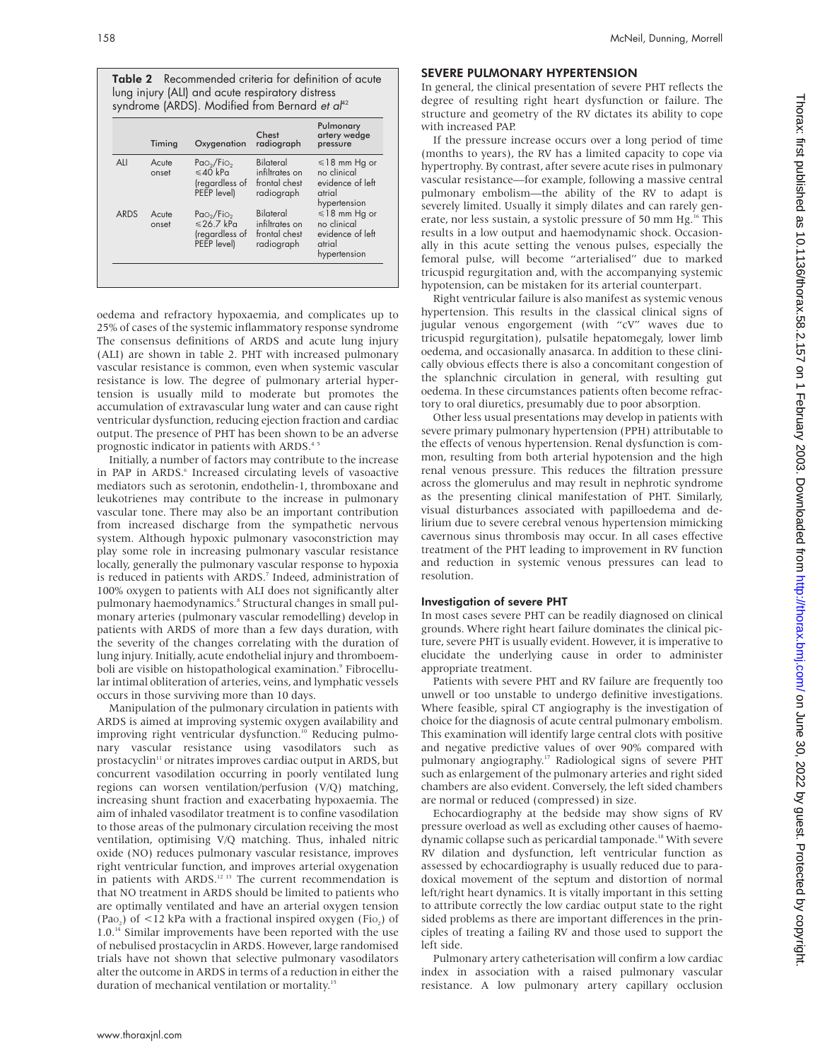

|             | Timing         | Oxygenation                                                                            | Chest<br>radiograph                                        | Pulmonary<br>artery wedge<br>pressure                                           |
|-------------|----------------|----------------------------------------------------------------------------------------|------------------------------------------------------------|---------------------------------------------------------------------------------|
| ALI         | Acute<br>onset | Pao <sub>2</sub> /Fio <sub>2</sub><br>$\leq 40$ kPa<br>(regardless of<br>PEEP level)   | Bilateral<br>infiltrates on<br>frontal chest<br>radiograph | $\leq$ 18 mm Hg or<br>no clinical<br>evidence of left<br>atrial<br>hypertension |
| <b>ARDS</b> | Acute<br>onset | Pao <sub>2</sub> /Fio <sub>2</sub><br>$\leq 26.7$ kPa<br>(regardless of<br>PEEP level) | Bilateral<br>infiltrates on<br>frontal chest<br>radiograph | $\leq$ 18 mm Hg or<br>no clinical<br>evidence of left<br>atrial<br>hypertension |

oedema and refractory hypoxaemia, and complicates up to 25% of cases of the systemic inflammatory response syndrome The consensus definitions of ARDS and acute lung injury (ALI) are shown in table 2. PHT with increased pulmonary vascular resistance is common, even when systemic vascular resistance is low. The degree of pulmonary arterial hypertension is usually mild to moderate but promotes the accumulation of extravascular lung water and can cause right ventricular dysfunction, reducing ejection fraction and cardiac output. The presence of PHT has been shown to be an adverse prognostic indicator in patients with ARDS.<sup>45</sup>

Initially, a number of factors may contribute to the increase in PAP in ARDS.<sup>6</sup> Increased circulating levels of vasoactive mediators such as serotonin, endothelin-1, thromboxane and leukotrienes may contribute to the increase in pulmonary vascular tone. There may also be an important contribution from increased discharge from the sympathetic nervous system. Although hypoxic pulmonary vasoconstriction may play some role in increasing pulmonary vascular resistance locally, generally the pulmonary vascular response to hypoxia is reduced in patients with ARDS.<sup>7</sup> Indeed, administration of 100% oxygen to patients with ALI does not significantly alter pulmonary haemodynamics.<sup>8</sup> Structural changes in small pulmonary arteries (pulmonary vascular remodelling) develop in patients with ARDS of more than a few days duration, with the severity of the changes correlating with the duration of lung injury. Initially, acute endothelial injury and thromboemboli are visible on histopathological examination.<sup>9</sup> Fibrocellular intimal obliteration of arteries, veins, and lymphatic vessels occurs in those surviving more than 10 days.

Manipulation of the pulmonary circulation in patients with ARDS is aimed at improving systemic oxygen availability and improving right ventricular dysfunction.<sup>10</sup> Reducing pulmonary vascular resistance using vasodilators such as prostacyclin<sup>11</sup> or nitrates improves cardiac output in ARDS, but concurrent vasodilation occurring in poorly ventilated lung regions can worsen ventilation/perfusion (V/Q) matching, increasing shunt fraction and exacerbating hypoxaemia. The aim of inhaled vasodilator treatment is to confine vasodilation to those areas of the pulmonary circulation receiving the most ventilation, optimising V/Q matching. Thus, inhaled nitric oxide (NO) reduces pulmonary vascular resistance, improves right ventricular function, and improves arterial oxygenation in patients with ARDS.12 13 The current recommendation is that NO treatment in ARDS should be limited to patients who are optimally ventilated and have an arterial oxygen tension (Pao<sub>2</sub>) of  $\leq$ 12 kPa with a fractional inspired oxygen (Fio<sub>2</sub>) of 1.0.14 Similar improvements have been reported with the use of nebulised prostacyclin in ARDS. However, large randomised trials have not shown that selective pulmonary vasodilators alter the outcome in ARDS in terms of a reduction in either the duration of mechanical ventilation or mortality.<sup>15</sup>

# SEVERE PULMONARY HYPERTENSION

In general, the clinical presentation of severe PHT reflects the degree of resulting right heart dysfunction or failure. The structure and geometry of the RV dictates its ability to cope with increased PAP.

If the pressure increase occurs over a long period of time (months to years), the RV has a limited capacity to cope via hypertrophy. By contrast, after severe acute rises in pulmonary vascular resistance—for example, following a massive central pulmonary embolism—the ability of the RV to adapt is severely limited. Usually it simply dilates and can rarely generate, nor less sustain, a systolic pressure of 50 mm Hg.<sup>16</sup> This results in a low output and haemodynamic shock. Occasionally in this acute setting the venous pulses, especially the femoral pulse, will become "arterialised" due to marked tricuspid regurgitation and, with the accompanying systemic hypotension, can be mistaken for its arterial counterpart.

Right ventricular failure is also manifest as systemic venous hypertension. This results in the classical clinical signs of jugular venous engorgement (with "cV" waves due to tricuspid regurgitation), pulsatile hepatomegaly, lower limb oedema, and occasionally anasarca. In addition to these clinically obvious effects there is also a concomitant congestion of the splanchnic circulation in general, with resulting gut oedema. In these circumstances patients often become refractory to oral diuretics, presumably due to poor absorption.

Other less usual presentations may develop in patients with severe primary pulmonary hypertension (PPH) attributable to the effects of venous hypertension. Renal dysfunction is common, resulting from both arterial hypotension and the high renal venous pressure. This reduces the filtration pressure across the glomerulus and may result in nephrotic syndrome as the presenting clinical manifestation of PHT. Similarly, visual disturbances associated with papilloedema and delirium due to severe cerebral venous hypertension mimicking cavernous sinus thrombosis may occur. In all cases effective treatment of the PHT leading to improvement in RV function and reduction in systemic venous pressures can lead to resolution.

## Investigation of severe PHT

In most cases severe PHT can be readily diagnosed on clinical grounds. Where right heart failure dominates the clinical picture, severe PHT is usually evident. However, it is imperative to elucidate the underlying cause in order to administer appropriate treatment.

Patients with severe PHT and RV failure are frequently too unwell or too unstable to undergo definitive investigations. Where feasible, spiral CT angiography is the investigation of choice for the diagnosis of acute central pulmonary embolism. This examination will identify large central clots with positive and negative predictive values of over 90% compared with pulmonary angiography.17 Radiological signs of severe PHT such as enlargement of the pulmonary arteries and right sided chambers are also evident. Conversely, the left sided chambers are normal or reduced (compressed) in size.

Echocardiography at the bedside may show signs of RV pressure overload as well as excluding other causes of haemodynamic collapse such as pericardial tamponade.<sup>18</sup> With severe RV dilation and dysfunction, left ventricular function as assessed by echocardiography is usually reduced due to paradoxical movement of the septum and distortion of normal left/right heart dynamics. It is vitally important in this setting to attribute correctly the low cardiac output state to the right sided problems as there are important differences in the principles of treating a failing RV and those used to support the left side.

Pulmonary artery catheterisation will confirm a low cardiac index in association with a raised pulmonary vascular resistance. A low pulmonary artery capillary occlusion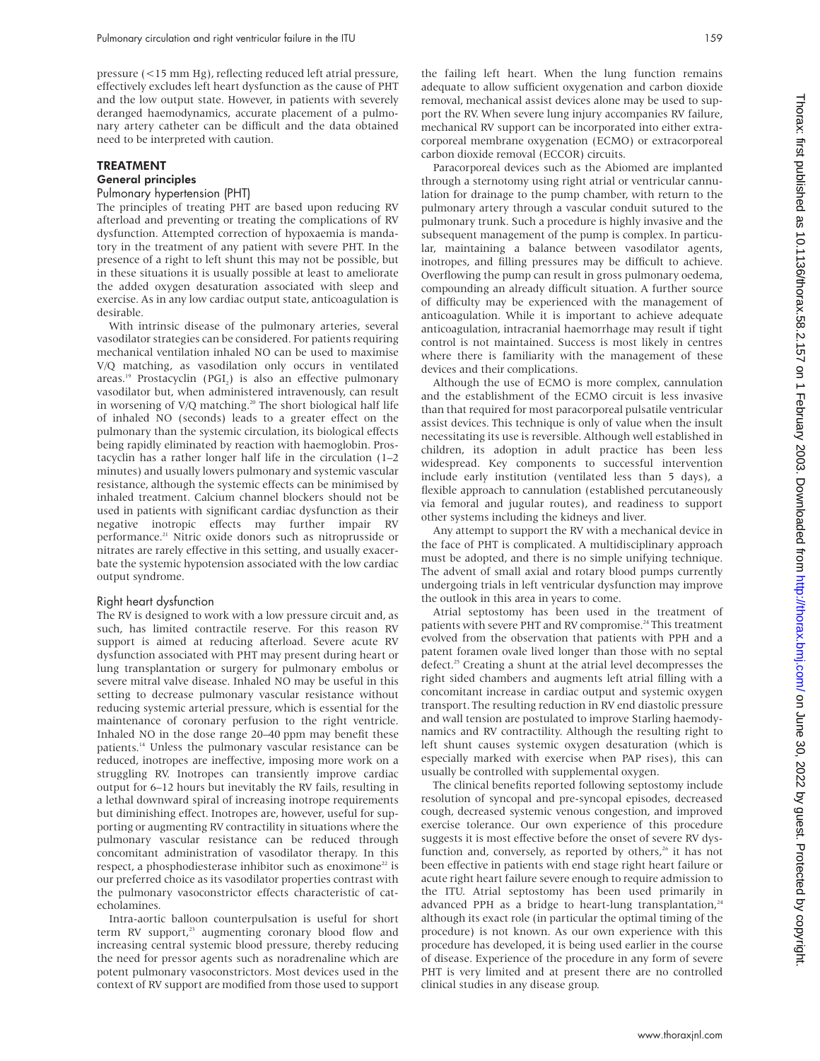pressure (<15 mm Hg), reflecting reduced left atrial pressure, effectively excludes left heart dysfunction as the cause of PHT and the low output state. However, in patients with severely deranged haemodynamics, accurate placement of a pulmonary artery catheter can be difficult and the data obtained need to be interpreted with caution.

## TREATMENT General principles

#### Pulmonary hypertension (PHT)

The principles of treating PHT are based upon reducing RV afterload and preventing or treating the complications of RV dysfunction. Attempted correction of hypoxaemia is mandatory in the treatment of any patient with severe PHT. In the presence of a right to left shunt this may not be possible, but in these situations it is usually possible at least to ameliorate the added oxygen desaturation associated with sleep and exercise. As in any low cardiac output state, anticoagulation is desirable.

With intrinsic disease of the pulmonary arteries, several vasodilator strategies can be considered. For patients requiring mechanical ventilation inhaled NO can be used to maximise V/Q matching, as vasodilation only occurs in ventilated areas.<sup>19</sup> Prostacyclin (PGI<sub>2</sub>) is also an effective pulmonary vasodilator but, when administered intravenously, can result in worsening of V/Q matching.<sup>20</sup> The short biological half life of inhaled NO (seconds) leads to a greater effect on the pulmonary than the systemic circulation, its biological effects being rapidly eliminated by reaction with haemoglobin. Prostacyclin has a rather longer half life in the circulation (1–2 minutes) and usually lowers pulmonary and systemic vascular resistance, although the systemic effects can be minimised by inhaled treatment. Calcium channel blockers should not be used in patients with significant cardiac dysfunction as their negative inotropic effects may further impair RV performance.<sup>21</sup> Nitric oxide donors such as nitroprusside or nitrates are rarely effective in this setting, and usually exacerbate the systemic hypotension associated with the low cardiac output syndrome.

#### Right heart dysfunction

The RV is designed to work with a low pressure circuit and, as such, has limited contractile reserve. For this reason RV support is aimed at reducing afterload. Severe acute RV dysfunction associated with PHT may present during heart or lung transplantation or surgery for pulmonary embolus or severe mitral valve disease. Inhaled NO may be useful in this setting to decrease pulmonary vascular resistance without reducing systemic arterial pressure, which is essential for the maintenance of coronary perfusion to the right ventricle. Inhaled NO in the dose range 20–40 ppm may benefit these patients.14 Unless the pulmonary vascular resistance can be reduced, inotropes are ineffective, imposing more work on a struggling RV. Inotropes can transiently improve cardiac output for 6–12 hours but inevitably the RV fails, resulting in a lethal downward spiral of increasing inotrope requirements but diminishing effect. Inotropes are, however, useful for supporting or augmenting RV contractility in situations where the pulmonary vascular resistance can be reduced through concomitant administration of vasodilator therapy. In this respect, a phosphodiesterase inhibitor such as enoximone<sup>22</sup> is our preferred choice as its vasodilator properties contrast with the pulmonary vasoconstrictor effects characteristic of catecholamines.

Intra-aortic balloon counterpulsation is useful for short term RV support,<sup>23</sup> augmenting coronary blood flow and increasing central systemic blood pressure, thereby reducing the need for pressor agents such as noradrenaline which are potent pulmonary vasoconstrictors. Most devices used in the context of RV support are modified from those used to support

the failing left heart. When the lung function remains adequate to allow sufficient oxygenation and carbon dioxide removal, mechanical assist devices alone may be used to support the RV. When severe lung injury accompanies RV failure, mechanical RV support can be incorporated into either extracorporeal membrane oxygenation (ECMO) or extracorporeal carbon dioxide removal (ECCOR) circuits.

Paracorporeal devices such as the Abiomed are implanted through a sternotomy using right atrial or ventricular cannulation for drainage to the pump chamber, with return to the pulmonary artery through a vascular conduit sutured to the pulmonary trunk. Such a procedure is highly invasive and the subsequent management of the pump is complex. In particular, maintaining a balance between vasodilator agents, inotropes, and filling pressures may be difficult to achieve. Overflowing the pump can result in gross pulmonary oedema, compounding an already difficult situation. A further source of difficulty may be experienced with the management of anticoagulation. While it is important to achieve adequate anticoagulation, intracranial haemorrhage may result if tight control is not maintained. Success is most likely in centres where there is familiarity with the management of these devices and their complications.

Although the use of ECMO is more complex, cannulation and the establishment of the ECMO circuit is less invasive than that required for most paracorporeal pulsatile ventricular assist devices. This technique is only of value when the insult necessitating its use is reversible. Although well established in children, its adoption in adult practice has been less widespread. Key components to successful intervention include early institution (ventilated less than 5 days), a flexible approach to cannulation (established percutaneously via femoral and jugular routes), and readiness to support other systems including the kidneys and liver.

Any attempt to support the RV with a mechanical device in the face of PHT is complicated. A multidisciplinary approach must be adopted, and there is no simple unifying technique. The advent of small axial and rotary blood pumps currently undergoing trials in left ventricular dysfunction may improve the outlook in this area in years to come.

Atrial septostomy has been used in the treatment of patients with severe PHT and RV compromise.<sup>24</sup> This treatment evolved from the observation that patients with PPH and a patent foramen ovale lived longer than those with no septal defect.<sup>25</sup> Creating a shunt at the atrial level decompresses the right sided chambers and augments left atrial filling with a concomitant increase in cardiac output and systemic oxygen transport. The resulting reduction in RV end diastolic pressure and wall tension are postulated to improve Starling haemodynamics and RV contractility. Although the resulting right to left shunt causes systemic oxygen desaturation (which is especially marked with exercise when PAP rises), this can usually be controlled with supplemental oxygen.

The clinical benefits reported following septostomy include resolution of syncopal and pre-syncopal episodes, decreased cough, decreased systemic venous congestion, and improved exercise tolerance. Our own experience of this procedure suggests it is most effective before the onset of severe RV dysfunction and, conversely, as reported by others, $26$  it has not been effective in patients with end stage right heart failure or acute right heart failure severe enough to require admission to the ITU. Atrial septostomy has been used primarily in advanced PPH as a bridge to heart-lung transplantation, $24$ although its exact role (in particular the optimal timing of the procedure) is not known. As our own experience with this procedure has developed, it is being used earlier in the course of disease. Experience of the procedure in any form of severe PHT is very limited and at present there are no controlled clinical studies in any disease group.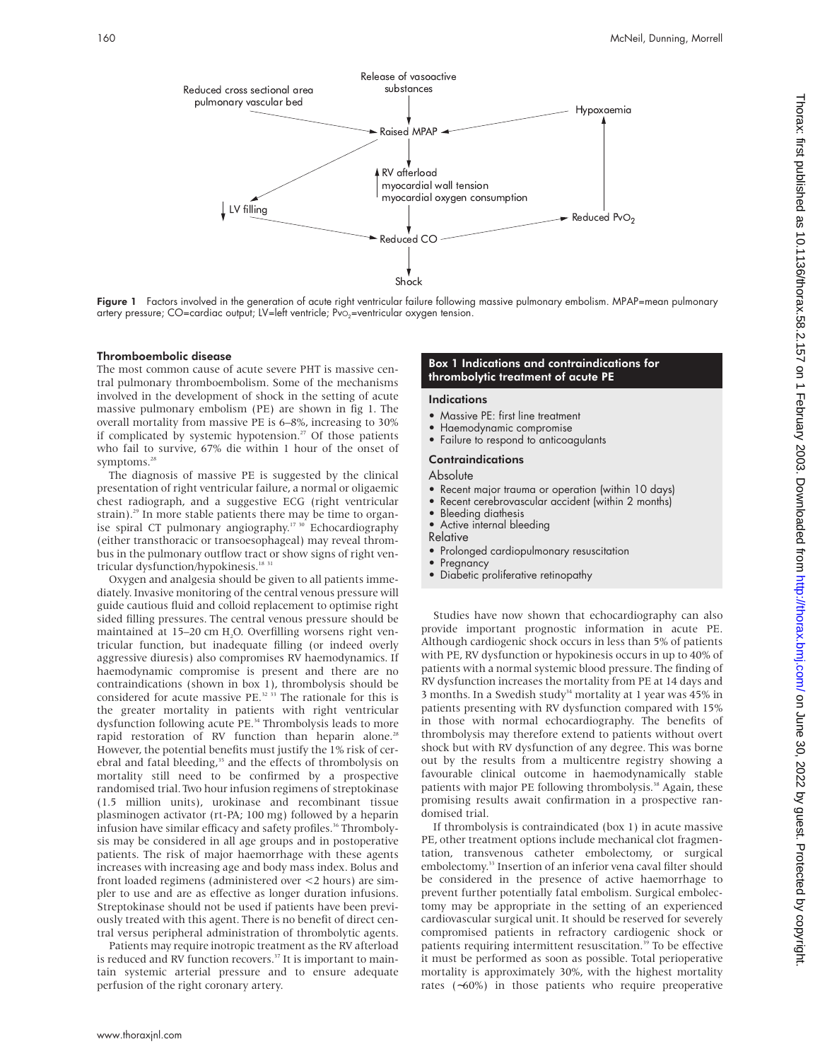

Figure 1 Factors involved in the generation of acute right ventricular failure following massive pulmonary embolism. MPAP=mean pulmonary artery pressure; CO=cardiac output; LV=left ventricle; Pvo<sub>2</sub>=ventricular oxygen tension.

#### Thromboembolic disease

The most common cause of acute severe PHT is massive central pulmonary thromboembolism. Some of the mechanisms involved in the development of shock in the setting of acute massive pulmonary embolism (PE) are shown in fig 1. The overall mortality from massive PE is 6–8%, increasing to 30% if complicated by systemic hypotension.<sup>27</sup> Of those patients who fail to survive, 67% die within 1 hour of the onset of symptoms.<sup>28</sup>

The diagnosis of massive PE is suggested by the clinical presentation of right ventricular failure, a normal or oligaemic chest radiograph, and a suggestive ECG (right ventricular strain).<sup>29</sup> In more stable patients there may be time to organise spiral CT pulmonary angiography.17 30 Echocardiography (either transthoracic or transoesophageal) may reveal thrombus in the pulmonary outflow tract or show signs of right ventricular dysfunction/hypokinesis.<sup>18 31</sup>

Oxygen and analgesia should be given to all patients immediately. Invasive monitoring of the central venous pressure will guide cautious fluid and colloid replacement to optimise right sided filling pressures. The central venous pressure should be maintained at 15–20 cm H<sub>2</sub>O. Overfilling worsens right ventricular function, but inadequate filling (or indeed overly aggressive diuresis) also compromises RV haemodynamics. If haemodynamic compromise is present and there are no contraindications (shown in box 1), thrombolysis should be considered for acute massive PE.<sup>32 33</sup> The rationale for this is the greater mortality in patients with right ventricular dysfunction following acute PE.<sup>34</sup> Thrombolysis leads to more rapid restoration of RV function than heparin alone.<sup>28</sup> However, the potential benefits must justify the 1% risk of cerebral and fatal bleeding,<sup>35</sup> and the effects of thrombolysis on mortality still need to be confirmed by a prospective randomised trial. Two hour infusion regimens of streptokinase (1.5 million units), urokinase and recombinant tissue plasminogen activator (rt-PA; 100 mg) followed by a heparin infusion have similar efficacy and safety profiles.<sup>36</sup> Thrombolysis may be considered in all age groups and in postoperative patients. The risk of major haemorrhage with these agents increases with increasing age and body mass index. Bolus and front loaded regimens (administered over <2 hours) are simpler to use and are as effective as longer duration infusions. Streptokinase should not be used if patients have been previously treated with this agent. There is no benefit of direct central versus peripheral administration of thrombolytic agents.

Patients may require inotropic treatment as the RV afterload is reduced and RV function recovers.<sup>37</sup> It is important to maintain systemic arterial pressure and to ensure adequate perfusion of the right coronary artery.

#### Box 1 Indications and contraindications for thrombolytic treatment of acute PE

#### **Indications**

- Massive PE: first line treatment
- Haemodynamic compromise
- Failure to respond to anticoagulants

#### **Contraindications**

Absolute

- Recent major trauma or operation (within 10 days)
- Recent cerebrovascular accident (within 2 months)
- Bleeding diathesis
- Active internal bleeding
- Relative
- Prolonged cardiopulmonary resuscitation
- **Pregnancy**
- Diabetic proliferative retinopathy

Studies have now shown that echocardiography can also provide important prognostic information in acute PE. Although cardiogenic shock occurs in less than 5% of patients with PE, RV dysfunction or hypokinesis occurs in up to 40% of patients with a normal systemic blood pressure. The finding of RV dysfunction increases the mortality from PE at 14 days and 3 months. In a Swedish study<sup>34</sup> mortality at 1 year was  $45\%$  in patients presenting with RV dysfunction compared with 15% in those with normal echocardiography. The benefits of thrombolysis may therefore extend to patients without overt shock but with RV dysfunction of any degree. This was borne out by the results from a multicentre registry showing a favourable clinical outcome in haemodynamically stable patients with major PE following thrombolysis.<sup>38</sup> Again, these promising results await confirmation in a prospective randomised trial.

If thrombolysis is contraindicated (box 1) in acute massive PE, other treatment options include mechanical clot fragmentation, transvenous catheter embolectomy, or surgical embolectomy.<sup>33</sup> Insertion of an inferior vena caval filter should be considered in the presence of active haemorrhage to prevent further potentially fatal embolism. Surgical embolectomy may be appropriate in the setting of an experienced cardiovascular surgical unit. It should be reserved for severely compromised patients in refractory cardiogenic shock or patients requiring intermittent resuscitation. $39$  To be effective it must be performed as soon as possible. Total perioperative mortality is approximately 30%, with the highest mortality rates (∼60%) in those patients who require preoperative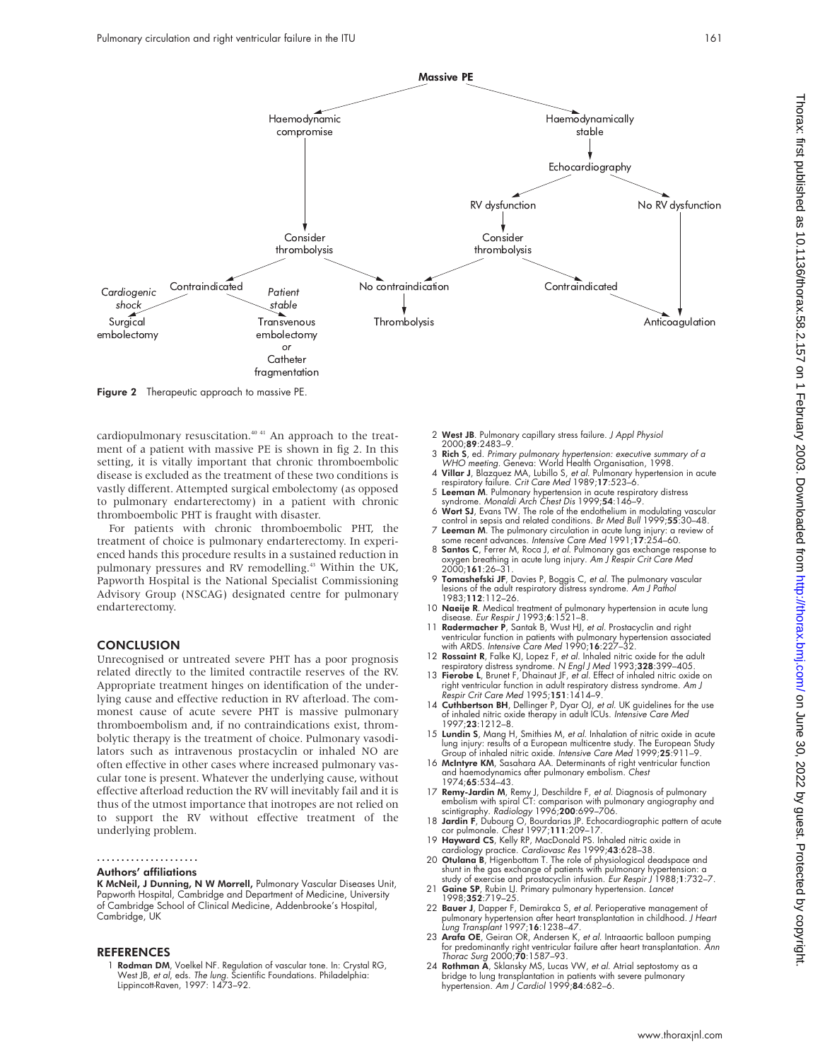

Figure 2 Therapeutic approach to massive PE.

cardiopulmonary resuscitation.<sup>40 41</sup> An approach to the treatment of a patient with massive PE is shown in fig 2. In this setting, it is vitally important that chronic thromboembolic disease is excluded as the treatment of these two conditions is vastly different. Attempted surgical embolectomy (as opposed to pulmonary endarterectomy) in a patient with chronic thromboembolic PHT is fraught with disaster.

For patients with chronic thromboembolic PHT, the treatment of choice is pulmonary endarterectomy. In experienced hands this procedure results in a sustained reduction in pulmonary pressures and RV remodelling.<sup>43</sup> Within the UK, Papworth Hospital is the National Specialist Commissioning Advisory Group (NSCAG) designated centre for pulmonary endarterectomy.

### **CONCLUSION**

Unrecognised or untreated severe PHT has a poor prognosis related directly to the limited contractile reserves of the RV. Appropriate treatment hinges on identification of the underlying cause and effective reduction in RV afterload. The commonest cause of acute severe PHT is massive pulmonary thromboembolism and, if no contraindications exist, thrombolytic therapy is the treatment of choice. Pulmonary vasodilators such as intravenous prostacyclin or inhaled NO are often effective in other cases where increased pulmonary vascular tone is present. Whatever the underlying cause, without effective afterload reduction the RV will inevitably fail and it is thus of the utmost importance that inotropes are not relied on to support the RV without effective treatment of the underlying problem.

# .....................

# Authors' affiliations

K McNeil, J Dunning, N W Morrell, Pulmonary Vascular Diseases Unit, Papworth Hospital, Cambridge and Department of Medicine, University of Cambridge School of Clinical Medicine, Addenbrooke's Hospital, Cambridge, UK

### **REFERENCES**

1 Rodman DM, Voelkel NF. Regulation of vascular tone. In: Crystal RG, West JB, et al, eds. The lung. Scientific Foundations. Philadelphia: Lippincott-Raven, 1997: 1473–92.

- 2 West JB. Pulmonary capillary stress failure. J Appl Physiol 2000;89:2483–9.
- 3 Rich S, ed. Primary pulmonary hypertension: executive summary of <sup>a</sup> WHO meeting. Geneva: World Health Organisation, 1998.
- 4 Villar J, Blazquez MA, Lubillo S, et al. Pulmonary hypertension in acute respiratory failure. Crit Care Med 1989;17:523–6.
- 5 Leeman M. Pulmonary hypertension in acute respiratory distress syndrome. Monaldi Arch Chest Dis 1999;54:146–9.
- 6 Wort SJ, Evans TW. The role of the endothelium in modulating vascular control in sepsis and related conditions. Br Med Bull 1999;55:30-48.
- 7 Leeman M. The pulmonary circulation in acute lung injury: a review of some recent advances. Intensive Care Med 1991;17:254-60.
- 8 Santos C, Ferrer M, Roca J, et al. Pulmonary gas exchange response to oxygen breathing in acute lung injury. Am J Respir Crit Care Med 2000;161:26-3
- 9 Tomashefski JF, Davies P, Boggis C, et al. The pulmonary vascular lesions of the adult respiratory distress syndrome. Am J Pathol 1983;112:112–26.
- 10 Naeije R. Medical treatment of pulmonary hypertension in acute lung
- disease. *Eur Respir J* 1993;6:1521–8.<br>
11 **Radermacher P**, Santak B, Wust HJ, *et al.* Prostacyclin and right<br>
ventricular function in patients with pulmonary hypertension associated<br>
with ARDS. *Intensive Care Med* 1990;
- 12 **Rossaint R**, Falke KJ, Lopez F, *et al.* Inhaled nitric oxide for the adult respiratory distress syndrome. N Engl J Med 1993;**328**:399–405.<br>13 **Fierobe L**, Brunet F, Dhainaut JF, *et al.* Effect of inhaled nitric oxide
- right ventricular function in adult respiratory distress syndrome. *Am J*<br>Respir Crit Care Med 1995;**151**:1414–9.
- 14 Cuthbertson BH, Dellinger P, Dyar OJ, et al. UK guidelines for the use of inhaled nitric oxide therapy in adult ICUs. Intensive Care Med 1997;23:1212–8.
- 15 Lundin S, Mang H, Smithies M, et al. Inhalation of nitric oxide in acute lung injury: results of a European multicentre study. The European Study Group of inhaled nitric oxide. Intensive Care Med 1999;25:911–9.
- 16 McIntyre KM, Sasahara AA. Determinants of right ventricular function and haemodynamics after pulmonary embolism. Chest 1974;65:534–43.
- 17 Remy-Jardin M, Remy J, Deschildre F, et al. Diagnosis of pulmonary
- embolism with spiral CT: comparison with pulmonary angiography and scintigraphy. Radiology 1996;200:699–706. 18 Jardin F, Dubourg O, Bourdarias JP. Echocardiographic pattern of acute cor pulmonale. Chest 1997;111:209–17.
- 19 **Hayward CS**, Kelly RP, MacDonald PS. Inhaled nitric oxide in<br>cardiology practice. *Cardiovasc Res* 1999;**43**:628–38.<br>20 **Otulana B**, Higenbottam T. The role of physiological deadspace and
- shunt in the gas exchange of patients with pulmonary hypertension: a study of exercise and prostacyclin infusion. Eur Respir J 1988;1:732–7.
- Gaine SP, Rubin LJ. Primary pulmonary hypertension. Lancet 1998;352:719–25.
- 22 Bauer J, Dapper F, Demirakca S, et al. Perioperative management of pulmonary hypertension after heart transplantation in childhood. *J Heart*<br>Lung Transplant 1997;16:1238–47.<br>23 **Arafa OE**, Geiran OR, Andersen K, *et al*. Intraaortic balloon pumping
- for predominantly right ventricular failure after heart transplantation. Ann Thorac Surg 2000;70:1587–93.
- 24 Rothman A, Sklansky MS, Lucas VW, et al. Atrial septostomy as a bridge to lung transplantation in patients with severe pulmonary<br>hypertension. *Am J Cardiol* 1999;**84**:682–6.